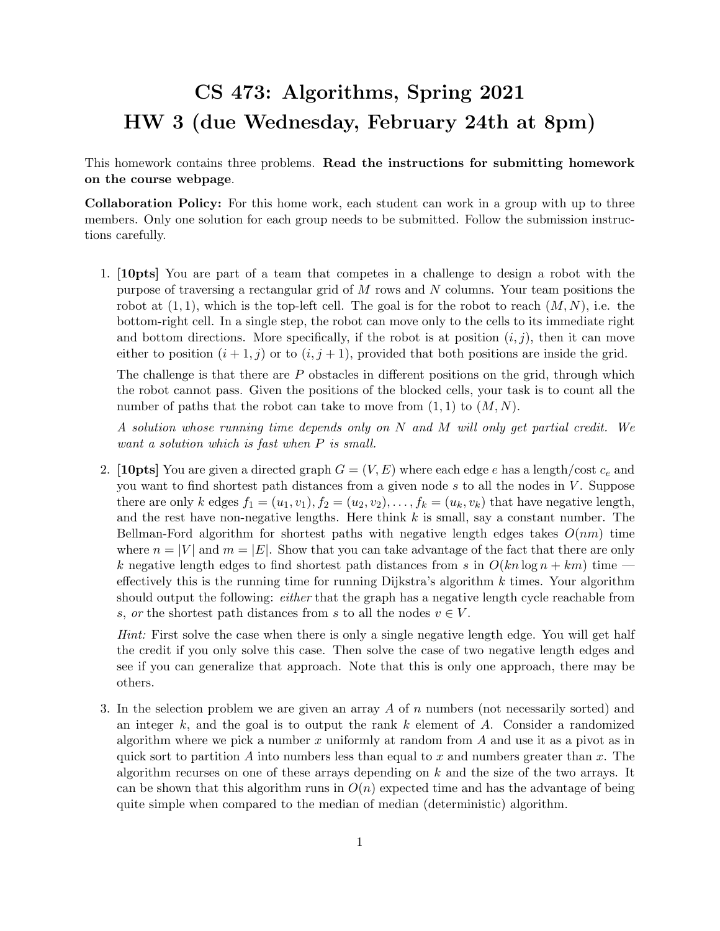## CS 473: Algorithms, Spring 2021 HW 3 (due Wednesday, February 24th at 8pm)

This homework contains three problems. Read the instructions for submitting homework on the course webpage.

Collaboration Policy: For this home work, each student can work in a group with up to three members. Only one solution for each group needs to be submitted. Follow the submission instructions carefully.

1. [10pts] You are part of a team that competes in a challenge to design a robot with the purpose of traversing a rectangular grid of M rows and N columns. Your team positions the robot at  $(1, 1)$ , which is the top-left cell. The goal is for the robot to reach  $(M, N)$ , i.e. the bottom-right cell. In a single step, the robot can move only to the cells to its immediate right and bottom directions. More specifically, if the robot is at position  $(i, j)$ , then it can move either to position  $(i + 1, j)$  or to  $(i, j + 1)$ , provided that both positions are inside the grid.

The challenge is that there are  $P$  obstacles in different positions on the grid, through which the robot cannot pass. Given the positions of the blocked cells, your task is to count all the number of paths that the robot can take to move from  $(1, 1)$  to  $(M, N)$ .

A solution whose running time depends only on N and M will only get partial credit. We want a solution which is fast when P is small.

2. [10pts] You are given a directed graph  $G = (V, E)$  where each edge e has a length/cost  $c_e$  and you want to find shortest path distances from a given node  $s$  to all the nodes in  $V$ . Suppose there are only k edges  $f_1 = (u_1, v_1), f_2 = (u_2, v_2), \ldots, f_k = (u_k, v_k)$  that have negative length, and the rest have non-negative lengths. Here think  $k$  is small, say a constant number. The Bellman-Ford algorithm for shortest paths with negative length edges takes  $O(nm)$  time where  $n = |V|$  and  $m = |E|$ . Show that you can take advantage of the fact that there are only k negative length edges to find shortest path distances from s in  $O(kn \log n + km)$  time effectively this is the running time for running Dijkstra's algorithm  $k$  times. Your algorithm should output the following: *either* that the graph has a negative length cycle reachable from s, or the shortest path distances from s to all the nodes  $v \in V$ .

Hint: First solve the case when there is only a single negative length edge. You will get half the credit if you only solve this case. Then solve the case of two negative length edges and see if you can generalize that approach. Note that this is only one approach, there may be others.

3. In the selection problem we are given an array  $\tilde{A}$  of  $n$  numbers (not necessarily sorted) and an integer k, and the goal is to output the rank k element of A. Consider a randomized algorithm where we pick a number x uniformly at random from A and use it as a pivot as in quick sort to partition A into numbers less than equal to x and numbers greater than  $x$ . The algorithm recurses on one of these arrays depending on  $k$  and the size of the two arrays. It can be shown that this algorithm runs in  $O(n)$  expected time and has the advantage of being quite simple when compared to the median of median (deterministic) algorithm.